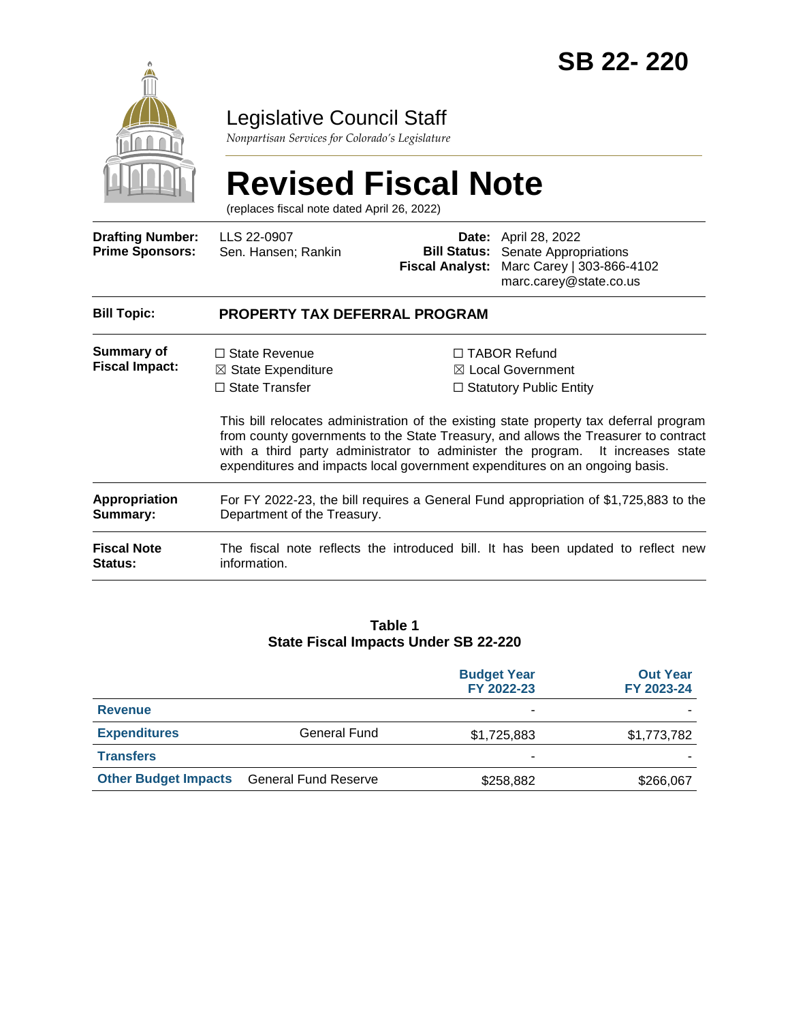

# Legislative Council Staff

*Nonpartisan Services for Colorado's Legislature*

# **Revised Fiscal Note**

(replaces fiscal note dated April 26, 2022)

| <b>Drafting Number:</b><br><b>Prime Sponsors:</b> | LLS 22-0907<br>Sen. Hansen; Rankin                                                                                  | <b>Bill Status:</b><br><b>Fiscal Analyst:</b> | <b>Date:</b> April 28, 2022<br>Senate Appropriations<br>Marc Carey   303-866-4102<br>marc.carey@state.co.us                                                                                                                                                                                                                                                                                                                             |  |  |
|---------------------------------------------------|---------------------------------------------------------------------------------------------------------------------|-----------------------------------------------|-----------------------------------------------------------------------------------------------------------------------------------------------------------------------------------------------------------------------------------------------------------------------------------------------------------------------------------------------------------------------------------------------------------------------------------------|--|--|
| <b>Bill Topic:</b>                                | PROPERTY TAX DEFERRAL PROGRAM                                                                                       |                                               |                                                                                                                                                                                                                                                                                                                                                                                                                                         |  |  |
| <b>Summary of</b><br><b>Fiscal Impact:</b>        | $\Box$ State Revenue<br>$\boxtimes$ State Expenditure<br>$\Box$ State Transfer                                      |                                               | $\Box$ TABOR Refund<br>$\boxtimes$ Local Government<br>$\Box$ Statutory Public Entity<br>This bill relocates administration of the existing state property tax deferral program<br>from county governments to the State Treasury, and allows the Treasurer to contract<br>with a third party administrator to administer the program. It increases state<br>expenditures and impacts local government expenditures on an ongoing basis. |  |  |
| Appropriation<br>Summary:                         | For FY 2022-23, the bill requires a General Fund appropriation of \$1,725,883 to the<br>Department of the Treasury. |                                               |                                                                                                                                                                                                                                                                                                                                                                                                                                         |  |  |
| <b>Fiscal Note</b><br>Status:                     | The fiscal note reflects the introduced bill. It has been updated to reflect new<br>information.                    |                                               |                                                                                                                                                                                                                                                                                                                                                                                                                                         |  |  |

#### **Table 1 State Fiscal Impacts Under SB 22-220**

|                             |                             | <b>Budget Year</b><br>FY 2022-23 | <b>Out Year</b><br>FY 2023-24 |
|-----------------------------|-----------------------------|----------------------------------|-------------------------------|
| <b>Revenue</b>              |                             | ۰                                |                               |
| <b>Expenditures</b>         | General Fund                | \$1,725,883                      | \$1,773,782                   |
| <b>Transfers</b>            |                             | -                                |                               |
| <b>Other Budget Impacts</b> | <b>General Fund Reserve</b> | \$258,882                        | \$266,067                     |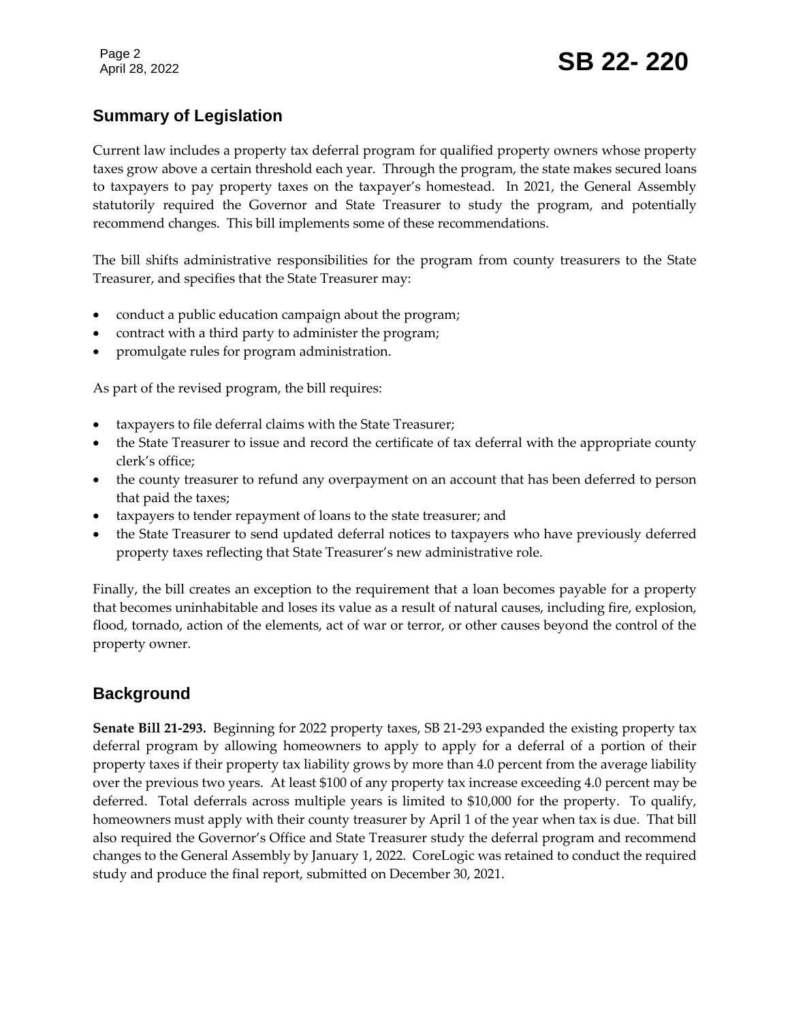# **Summary of Legislation**

Current law includes a property tax deferral program for qualified property owners whose property taxes grow above a certain threshold each year. Through the program, the state makes secured loans to taxpayers to pay property taxes on the taxpayer's homestead. In 2021, the General Assembly statutorily required the Governor and State Treasurer to study the program, and potentially recommend changes. This bill implements some of these recommendations.

The bill shifts administrative responsibilities for the program from county treasurers to the State Treasurer, and specifies that the State Treasurer may:

- conduct a public education campaign about the program;
- contract with a third party to administer the program;
- promulgate rules for program administration.

As part of the revised program, the bill requires:

- taxpayers to file deferral claims with the State Treasurer;
- the State Treasurer to issue and record the certificate of tax deferral with the appropriate county clerk's office;
- the county treasurer to refund any overpayment on an account that has been deferred to person that paid the taxes;
- taxpayers to tender repayment of loans to the state treasurer; and
- the State Treasurer to send updated deferral notices to taxpayers who have previously deferred property taxes reflecting that State Treasurer's new administrative role.

Finally, the bill creates an exception to the requirement that a loan becomes payable for a property that becomes uninhabitable and loses its value as a result of natural causes, including fire, explosion, flood, tornado, action of the elements, act of war or terror, or other causes beyond the control of the property owner.

# **Background**

**Senate Bill 21-293.** Beginning for 2022 property taxes, SB 21-293 expanded the existing property tax deferral program by allowing homeowners to apply to apply for a deferral of a portion of their property taxes if their property tax liability grows by more than 4.0 percent from the average liability over the previous two years. At least \$100 of any property tax increase exceeding 4.0 percent may be deferred. Total deferrals across multiple years is limited to \$10,000 for the property. To qualify, homeowners must apply with their county treasurer by April 1 of the year when tax is due. That bill also required the Governor's Office and State Treasurer study the deferral program and recommend changes to the General Assembly by January 1, 2022. CoreLogic was retained to conduct the required study and produce the final report, submitted on December 30, 2021.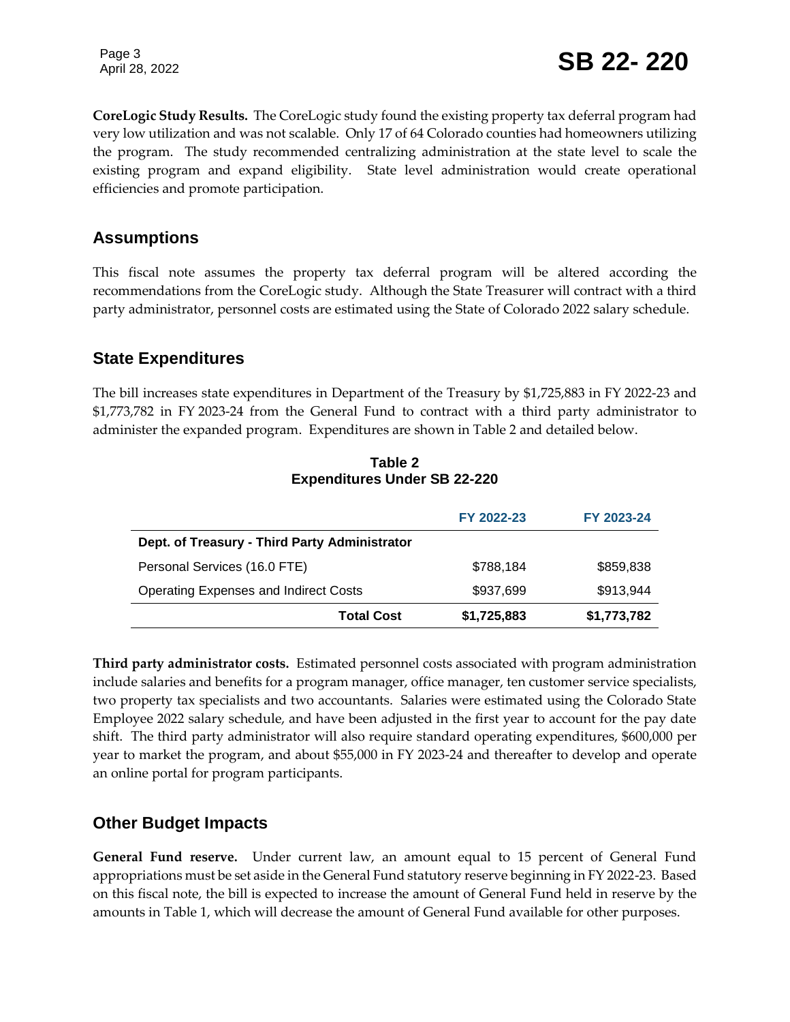**CoreLogic Study Results.** The CoreLogic study found the existing property tax deferral program had very low utilization and was not scalable. Only 17 of 64 Colorado counties had homeowners utilizing the program. The study recommended centralizing administration at the state level to scale the existing program and expand eligibility. State level administration would create operational efficiencies and promote participation.

#### **Assumptions**

This fiscal note assumes the property tax deferral program will be altered according the recommendations from the CoreLogic study. Although the State Treasurer will contract with a third party administrator, personnel costs are estimated using the State of Colorado 2022 salary schedule.

#### **State Expenditures**

The bill increases state expenditures in Department of the Treasury by \$1,725,883 in FY 2022-23 and \$1,773,782 in FY 2023-24 from the General Fund to contract with a third party administrator to administer the expanded program. Expenditures are shown in Table 2 and detailed below.

|                                               | FY 2022-23  | FY 2023-24  |
|-----------------------------------------------|-------------|-------------|
| Dept. of Treasury - Third Party Administrator |             |             |
| Personal Services (16.0 FTE)                  | \$788,184   | \$859,838   |
| <b>Operating Expenses and Indirect Costs</b>  | \$937,699   | \$913,944   |
| <b>Total Cost</b>                             | \$1,725,883 | \$1,773,782 |

**Table 2 Expenditures Under SB 22-220**

**Third party administrator costs.** Estimated personnel costs associated with program administration include salaries and benefits for a program manager, office manager, ten customer service specialists, two property tax specialists and two accountants. Salaries were estimated using the Colorado State Employee 2022 salary schedule, and have been adjusted in the first year to account for the pay date shift. The third party administrator will also require standard operating expenditures, \$600,000 per year to market the program, and about \$55,000 in FY 2023-24 and thereafter to develop and operate an online portal for program participants.

#### **Other Budget Impacts**

**General Fund reserve.** Under current law, an amount equal to 15 percent of General Fund appropriations must be set aside in the General Fund statutory reserve beginning in FY 2022-23. Based on this fiscal note, the bill is expected to increase the amount of General Fund held in reserve by the amounts in Table 1, which will decrease the amount of General Fund available for other purposes.